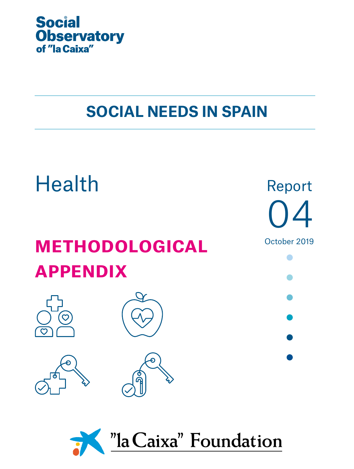

# **SOCIAL NEEDS IN SPAIN**



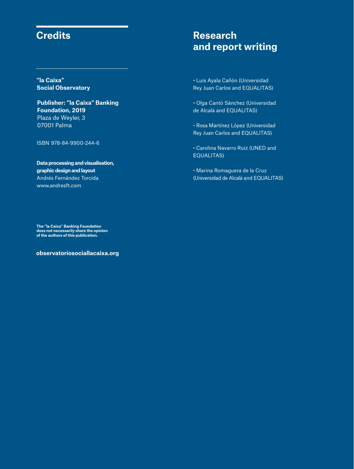## **Credits**

**"la Caixa" Social Observatory**

**Publisher: "la Caixa" Banking Foundation, 2019** Plaza de Weyler, 3 07001 Palma

ISBN 978-84-9900-244-6

**Data processing and visualisation, graphic design and layout** Andrés Fernández Torcida www.andresft.com

## **Research and report writing**

• Luis Ayala Cañón (Universidad Rey Juan Carlos and EQUALITAS)

• Olga Cantó Sánchez (Universidad de Alcalá and EQUALITAS)

• Rosa Martínez López (Universidad Rey Juan Carlos and EQUALITAS)

• Carolina Navarro Ruiz (UNED and EQUALITAS)

• Marina Romaguera de la Cruz (Universidad de Alcalá and EQUALITAS)

**The "la Caixa" Banking Foundation does not necessarily share the opinion of the authors of this publication.**

**observatoriosociallacaixa.org**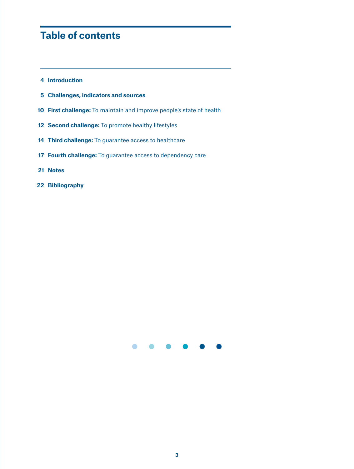## **Table of contents**

- **Introduction**
- **Challenges, indicators and sources**
- **First challenge:** To maintain and improve people's state of health
- **Second challenge:** To promote healthy lifestyles
- **Third challenge:** To guarantee access to healthcare
- **Fourth challenge:** To guarantee access to dependency care
- **Notes**
- **Bibliography**

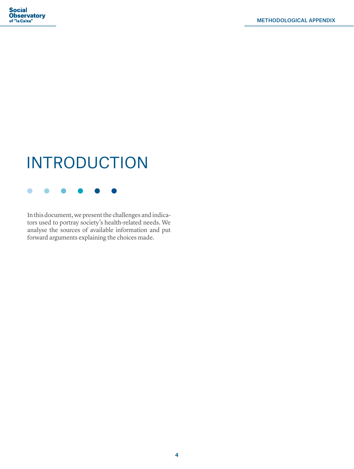# INTRODUCTION

In this document, we present the challenges and indicators used to portray society's health-related needs. We analyse the sources of available information and put forward arguments explaining the choices made.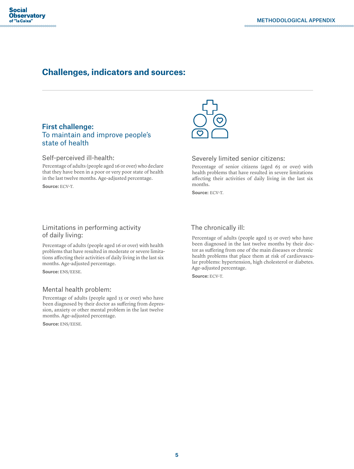## **Challenges, indicators and sources:**

### First challenge: To maintain and improve people's state of health

#### Self-perceived ill-health:

Percentage of adults (people aged 16 or over) who declare that they have been in a poor or very poor state of health in the last twelve months. Age-adjusted percentage.

Source: ECV-T.



#### Severely limited senior citizens:

Percentage of senior citizens (aged 65 or over) with health problems that have resulted in severe limitations affecting their activities of daily living in the last six months.

Source: ECV-T.

#### Limitations in performing activity of daily living:

Percentage of adults (people aged 16 or over) with health problems that have resulted in moderate or severe limitations affecting their activities of daily living in the last six months. Age-adjusted percentage.

Source: ENS/EESE.

#### Mental health problem:

Percentage of adults (people aged 15 or over) who have been diagnosed by their doctor as suffering from depression, anxiety or other mental problem in the last twelve months. Age-adjusted percentage.

Source: ENS/EESE.

#### The chronically ill:

Percentage of adults (people aged 15 or over) who have been diagnosed in the last twelve months by their doctor as suffering from one of the main diseases or chronic health problems that place them at risk of cardiovascular problems: hypertension, high cholesterol or diabetes. Age-adjusted percentage.

Source: ECV-T.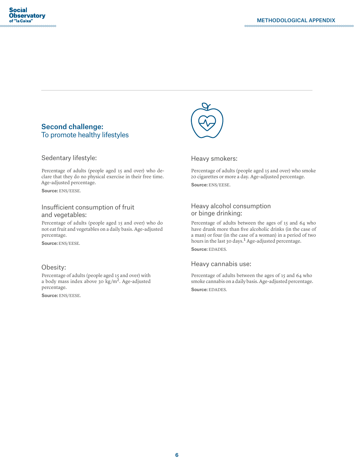#### Second challenge: To promote healthy lifestyles

#### Sedentary lifestyle:

Percentage of adults (people aged 15 and over) who declare that they do no physical exercise in their free time. Age-adjusted percentage.

Source: ENS/EESE.

#### Insufficient consumption of fruit and vegetables:

Percentage of adults (people aged 15 and over) who do not eat fruit and vegetables on a daily basis. Age-adjusted percentage.

Source: ENS/EESE.

#### Obesity:

Percentage of adults (people aged 15 and over) with a body mass index above 30 kg/m2. Age-adjusted percentage.

Source: ENS/EESE.



Heavy smokers:

Percentage of adults (people aged 15 and over) who smoke 20 cigarettes or more a day. Age-adjusted percentage. Source: ENS/EESE.

#### Heavy alcohol consumption or binge drinking:

Percentage of adults between the ages of 15 and 64 who have drunk more than five alcoholic drinks (in the case of a man) or four (in the case of a woman) in a period of two hours in the last 30 days.<sup>1</sup> Age-adjusted percentage.

Source: EDADES.

#### Heavy cannabis use:

Percentage of adults between the ages of 15 and 64 who smoke cannabis on a daily basis. Age-adjusted percentage. Source: EDADES.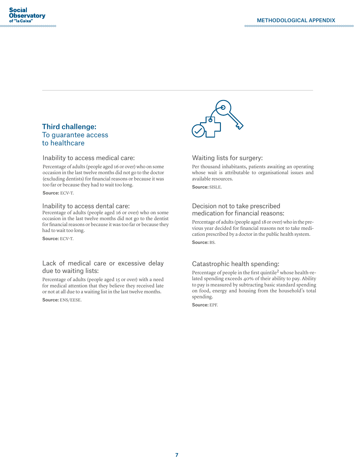#### Third challenge: To guarantee access to healthcare

Inability to access medical care:

Percentage of adults (people aged 16 or over) who on some occasion in the last twelve months did not go to the doctor (excluding dentists) for financial reasons or because it was too far or because they had to wait too long.

Source: ECV-T.

#### Inability to access dental care:

Percentage of adults (people aged 16 or over) who on some occasion in the last twelve months did not go to the dentist for financial reasons or because it was too far or because they had to wait too long.

Source: ECV-T.

#### Lack of medical care or excessive delay due to waiting lists:

Percentage of adults (people aged 15 or over) with a need for medical attention that they believe they received late or not at all due to a waiting list in the last twelve months.

Source: ENS/EESE.



#### Waiting lists for surgery:

Per thousand inhabitants, patients awaiting an operating whose wait is attributable to organisational issues and available resources.

Source: SISLE.

#### Decision not to take prescribed medication for financial reasons:

Percentage of adults (people aged 18 or over) who in the previous year decided for financial reasons not to take medication prescribed by a doctor in the public health system. Source: BS.

#### Catastrophic health spending:

Percentage of people in the first quintile<sup>2</sup> whose health-related spending exceeds 40% of their ability to pay. Ability to pay is measured by subtracting basic standard spending on food, energy and housing from the household's total spending.

Source: EPF.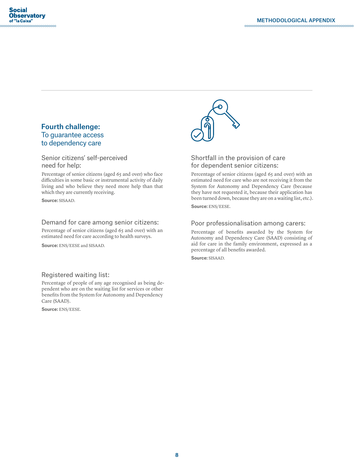#### Fourth challenge: To guarantee access to dependency care

#### Senior citizens' self-perceived need for help:

Percentage of senior citizens (aged 65 and over) who face difficulties in some basic or instrumental activity of daily living and who believe they need more help than that which they are currently receiving.

Source: SISAAD.

#### Demand for care among senior citizens:

Percentage of senior citizens (aged 65 and over) with an estimated need for care according to health surveys.

Source: ENS/EESE and SISAAD.

#### Registered waiting list:

Percentage of people of any age recognised as being dependent who are on the waiting list for services or other benefits from the System for Autonomy and Dependency Care (SAAD).

Source: ENS/EESE.



#### Shortfall in the provision of care for dependent senior citizens:

Percentage of senior citizens (aged 65 and over) with an estimated need for care who are not receiving it from the System for Autonomy and Dependency Care (because they have not requested it, because their application has been turned down, because they are on a waiting list, etc.). Source: ENS/EESE.

#### Poor professionalisation among carers:

Percentage of benefits awarded by the System for Autonomy and Dependency Care (SAAD) consisting of aid for care in the family environment, expressed as a percentage of all benefits awarded.

Source: SISAAD.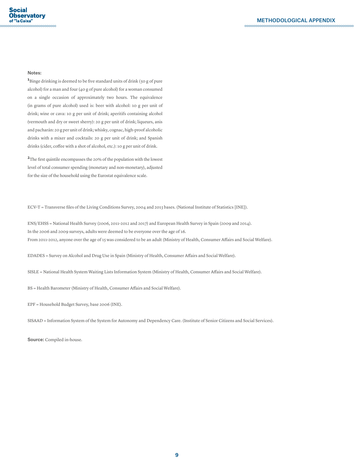#### Notes:

<sup>1</sup>Binge drinking is deemed to be five standard units of drink (50 g of pure alcohol) for a man and four (40 g of pure alcohol) for a woman consumed on a single occasion of approximately two hours. The equivalence (in grams of pure alcohol) used is: beer with alcohol: 10 g per unit of drink; wine or cava: 10 g per unit of drink; aperitifs containing alcohol (vermouth and dry or sweet sherry): 20 g per unit of drink; liqueurs, anis and pacharán: 20 g per unit of drink; whisky, cognac, high-proof alcoholic drinks with a mixer and cocktails: 20 g per unit of drink; and Spanish drinks (cider, coffee with a shot of alcohol, etc.): 10 g per unit of drink.

**2**The first quintile encompasses the 20% of the population with the lowest level of total consumer spending (monetary and non-monetary), adjusted for the size of the household using the Eurostat equivalence scale.

ECV-T = Transverse files of the Living Conditions Survey, 2004 and 2013 bases. (National Institute of Statistics [INE]).

ENS/EHSS = National Health Survey (2006, 2011-2012 and 2017) and European Health Survey in Spain (2009 and 2014). In the 2006 and 2009 surveys, adults were deemed to be everyone over the age of 16. From 2011-2012, anyone over the age of 15 was considered to be an adult (Ministry of Health, Consumer Affairs and Social Welfare).

EDADES = Survey on Alcohol and Drug Use in Spain (Ministry of Health, Consumer Affairs and Social Welfare).

SISLE = National Health System Waiting Lists Information System (Ministry of Health, Consumer Affairs and Social Welfare).

BS = Health Barometer (Ministry of Health, Consumer Affairs and Social Welfare).

EPF = Household Budget Survey, base 2006 (INE).

SISAAD = Information System of the System for Autonomy and Dependency Care. (Institute of Senior Citizens and Social Services).

Source: Compiled in-house.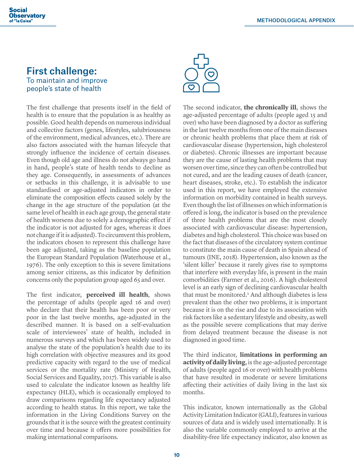#### **Social Observatory** of "la Caixa"

### First challenge: To maintain and improve people's state of health

The first challenge that presents itself in the field of health is to ensure that the population is as healthy as possible. Good health depends on numerous individual and collective factors (genes, lifestyles, salubriousness of the environment, medical advances, etc.). There are also factors associated with the human lifecycle that strongly influence the incidence of certain diseases. Even though old age and illness do not always go hand in hand, people's state of health tends to decline as they age. Consequently, in assessments of advances or setbacks in this challenge, it is advisable to use standardised or age-adjusted indicators in order to eliminate the composition effects caused solely by the change in the age structure of the population (at the same level of health in each age group, the general state of health worsens due to solely a demographic effect if the indicator is not adjusted for ages, whereas it does not change if it is adjusted). To circumvent this problem, the indicators chosen to represent this challenge have been age adjusted, taking as the baseline population the European Standard Population (Waterhouse et al., 1976). The only exception to this is severe limitations among senior citizens, as this indicator by definition concerns only the population group aged 65 and over.

The first indicator, **perceived ill health**, shows the percentage of adults (people aged 16 and over) who declare that their health has been poor or very poor in the last twelve months, age-adjusted in the described manner. It is based on a self-evaluation scale of interviewees' state of health, included in numerous surveys and which has been widely used to analyse the state of the population's health due to its high correlation with objective measures and its good predictive capacity with regard to the use of medical services or the mortality rate (Ministry of Health, Social Services and Equality, 2017). This variable is also used to calculate the indicator known as healthy life expectancy (HLE), which is occasionally employed to draw comparisons regarding life expectancy adjusted according to health status. In this report, we take the information in the Living Conditions Survey on the grounds that it is the source with the greatest continuity over time and because it offers more possibilities for making international comparisons.



The second indicator, **the chronically ill**, shows the age-adjusted percentage of adults (people aged 15 and over) who have been diagnosed by a doctor as suffering in the last twelve months from one of the main diseases or chronic health problems that place them at risk of cardiovascular disease (hypertension, high cholesterol or diabetes). Chronic illnesses are important because they are the cause of lasting health problems that may worsen over time, since they can often be controlled but not cured, and are the leading causes of death (cancer, heart diseases, stroke, etc.). To establish the indicator used in this report, we have employed the extensive information on morbidity contained in health surveys. Even though the list of illnesses on which information is offered is long, the indicator is based on the prevalence of three health problems that are the most closely associated with cardiovascular disease: hypertension, diabetes and high cholesterol. This choice was based on the fact that diseases of the circulatory system continue to constitute the main cause of death in Spain ahead of tumours (INE, 2018). Hypertension, also known as the 'silent killer' because it rarely gives rise to symptoms that interfere with everyday life, is present in the main comorbidities (Farmer et al., 2016). A high cholesterol level is an early sign of declining cardiovascular health that must be monitored.<sup>1</sup> And although diabetes is less prevalent than the other two problems, it is important because it is on the rise and due to its association with risk factors like a sedentary lifestyle and obesity, as well as the possible severe complications that may derive from delayed treatment because the disease is not diagnosed in good time.

The third indicator, **limitations in performing an activity of daily living**, is the age-adjusted percentage of adults (people aged 16 or over) with health problems that have resulted in moderate or severe limitations affecting their activities of daily living in the last six months.

This indicator, known internationally as the Global Activity Limitation Indicator (GALI), features in various sources of data and is widely used internationally. It is also the variable commonly employed to arrive at the disability-free life expectancy indicator, also known as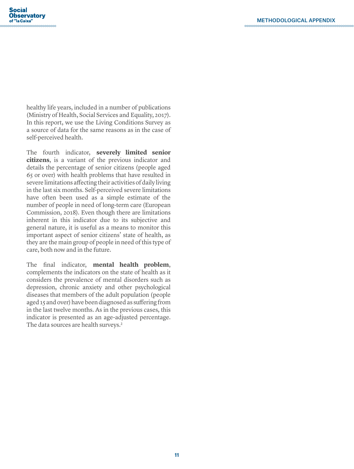healthy life years, included in a number of publications (Ministry of Health, Social Services and Equality, 2017). In this report, we use the Living Conditions Survey as a source of data for the same reasons as in the case of self-perceived health.

The fourth indicator, **severely limited senior citizens**, is a variant of the previous indicator and details the percentage of senior citizens (people aged 65 or over) with health problems that have resulted in severe limitations affecting their activities of daily living in the last six months. Self-perceived severe limitations have often been used as a simple estimate of the number of people in need of long-term care (European Commission, 2018). Even though there are limitations inherent in this indicator due to its subjective and general nature, it is useful as a means to monitor this important aspect of senior citizens' state of health, as they are the main group of people in need of this type of care, both now and in the future.

The final indicator, **mental health problem**, complements the indicators on the state of health as it considers the prevalence of mental disorders such as depression, chronic anxiety and other psychological diseases that members of the adult population (people aged 15 and over) have been diagnosed as suffering from in the last twelve months. As in the previous cases, this indicator is presented as an age-adjusted percentage. The data sources are health surveys.<sup>2</sup>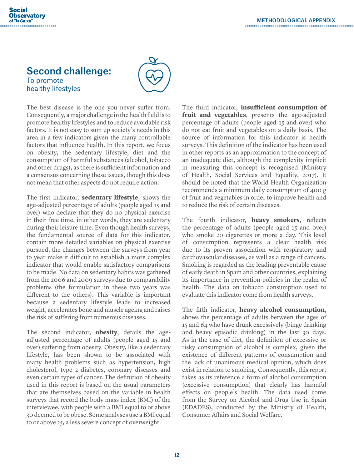#### **Social Observatory** of "la Caixa" .<br>000000000000000000000000000

## Second challenge: To promote healthy lifestyles



The best disease is the one you never suffer from. Consequently, a major challenge in the health field is to promote healthy lifestyles and to reduce avoidable risk factors. It is not easy to sum up society's needs in this area in a few indicators given the many controllable factors that influence health. In this report, we focus on obesity, the sedentary lifestyle, diet and the consumption of harmful substances (alcohol, tobacco and other drugs), as there is sufficient information and a consensus concerning these issues, though this does not mean that other aspects do not require action.

The first indicator, **sedentary lifestyle**, shows the age-adjusted percentage of adults (people aged 15 and over) who declare that they do no physical exercise in their free time, in other words, they are sedentary during their leisure time. Even though health surveys, the fundamental source of data for this indicator, contain more detailed variables on physical exercise pursued, the changes between the surveys from year to year make it difficult to establish a more complex indicator that would enable satisfactory comparisons to be made. No data on sedentary habits was gathered from the 2006 and 2009 surveys due to comparability problems (the formulation in these two years was different to the others). This variable is important because a sedentary lifestyle leads to increased weight, accelerates bone and muscle ageing and raises the risk of suffering from numerous diseases.

The second indicator, **obesity**, details the ageadjusted percentage of adults (people aged 15 and over) suffering from obesity. Obesity, like a sedentary lifestyle, has been shown to be associated with many health problems such as hypertension, high cholesterol, type 2 diabetes, coronary diseases and even certain types of cancer. The definition of obesity used in this report is based on the usual parameters that are themselves based on the variable in health surveys that record the body mass index (BMI) of the interviewee, with people with a BMI equal to or above 30 deemed to be obese. Some analyses use a BMI equal to or above 25, a less severe concept of overweight.

The third indicator, **insufficient consumption of fruit and vegetables**, presents the age-adjusted percentage of adults (people aged 15 and over) who do not eat fruit and vegetables on a daily basis. The source of information for this indicator is health surveys. This definition of the indicator has been used in other reports as an approximation to the concept of an inadequate diet, although the complexity implicit in measuring this concept is recognised (Ministry of Health, Social Services and Equality, 2017). It should be noted that the World Health Organization recommends a minimum daily consumption of 400 g of fruit and vegetables in order to improve health and to reduce the risk of certain diseases.

The fourth indicator, **heavy smokers**, reflects the percentage of adults (people aged 15 and over) who smoke 20 cigarettes or more a day. This level of consumption represents a clear health risk due to its proven association with respiratory and cardiovascular diseases, as well as a range of cancers. Smoking is regarded as the leading preventable cause of early death in Spain and other countries, explaining its importance in prevention policies in the realm of health. The data on tobacco consumption used to evaluate this indicator come from health surveys.

The fifth indicator, **heavy alcohol consumption**, shows the percentage of adults between the ages of 15 and 64 who have drunk excessively (binge drinking and heavy episodic drinking) in the last 30 days. As in the case of diet, the definition of excessive or risky consumption of alcohol is complex, given the existence of different patterns of consumption and the lack of unanimous medical opinion, which does exist in relation to smoking. Consequently, this report takes as its reference a form of alcohol consumption (excessive consumption) that clearly has harmful effects on people's health. The data used come from the Survey on Alcohol and Drug Use in Spain (EDADES), conducted by the Ministry of Health, Consumer Affairs and Social Welfare.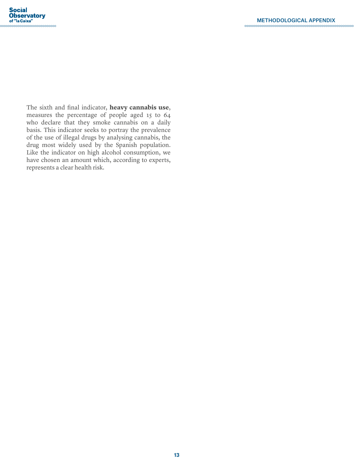$\sim$ 

The sixth and final indicator, **heavy cannabis use**, measures the percentage of people aged 15 to 64 who declare that they smoke cannabis on a daily basis. This indicator seeks to portray the prevalence of the use of illegal drugs by analysing cannabis, the drug most widely used by the Spanish population. Like the indicator on high alcohol consumption, we have chosen an amount which, according to experts, represents a clear health risk.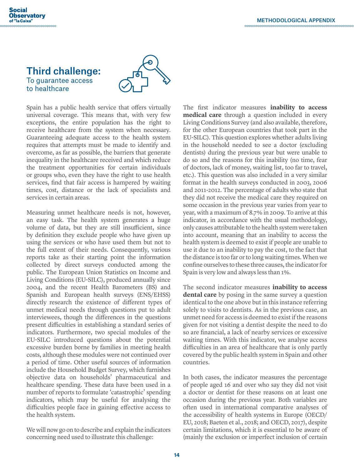#### **Social Observatory** of "la Caixa"

## Third challenge: To guarantee access to healthcare



Spain has a public health service that offers virtually universal coverage. This means that, with very few exceptions, the entire population has the right to receive healthcare from the system when necessary. Guaranteeing adequate access to the health system requires that attempts must be made to identify and overcome, as far as possible, the barriers that generate inequality in the healthcare received and which reduce the treatment opportunities for certain individuals or groups who, even they have the right to use health services, find that fair access is hampered by waiting times, cost, distance or the lack of specialists and services in certain areas.

Measuring unmet healthcare needs is not, however, an easy task. The health system generates a huge volume of data, but they are still insufficient, since by definition they exclude people who have given up using the services or who have used them but not to the full extent of their needs. Consequently, various reports take as their starting point the information collected by direct surveys conducted among the public. The European Union Statistics on Income and Living Conditions (EU-SILC), produced annually since 2004, and the recent Health Barometers (BS) and Spanish and European health surveys (ENS/EHSS) directly research the existence of different types of unmet medical needs through questions put to adult interviewees, though the differences in the questions present difficulties in establishing a standard series of indicators. Furthermore, two special modules of the EU-SILC introduced questions about the potential excessive burden borne by families in meeting health costs, although these modules were not continued over a period of time. Other useful sources of information include the Household Budget Survey, which furnishes objective data on households' pharmaceutical and healthcare spending. These data have been used in a number of reports to formulate 'catastrophic' spending indicators, which may be useful for analysing the difficulties people face in gaining effective access to the health system.

We will now go on to describe and explain the indicators concerning need used to illustrate this challenge:

The first indicator measures **inability to access medical care** through a question included in every Living Conditions Survey (and also available, therefore, for the other European countries that took part in the EU-SILC). This question explores whether adults living in the household needed to see a doctor (excluding dentists) during the previous year but were unable to do so and the reasons for this inability (no time, fear of doctors, lack of money, waiting list, too far to travel, etc.). This question was also included in a very similar format in the health surveys conducted in 2003, 2006 and 2011-2012. The percentage of adults who state that they did not receive the medical care they required on some occasion in the previous year varies from year to year, with a maximum of 8.7% in 2009. To arrive at this indicator, in accordance with the usual methodology, only causes attributable to the health system were taken into account, meaning that an inability to access the health system is deemed to exist if people are unable to use it due to an inability to pay the cost, to the fact that the distance is too far or to long waiting times. When we confine ourselves to these three causes, the indicator for Spain is very low and always less than 1%.

The second indicator measures **inability to access dental care** by posing in the same survey a question identical to the one above but in this instance referring solely to visits to dentists. As in the previous case, an unmet need for access is deemed to exist if the reasons given for not visiting a dentist despite the need to do so are financial, a lack of nearby services or excessive waiting times. With this indicator, we analyse access difficulties in an area of healthcare that is only partly covered by the public health system in Spain and other countries.

In both cases, the indicator measures the percentage of people aged 16 and over who say they did not visit a doctor or dentist for these reasons on at least one occasion during the previous year. Both variables are often used in international comparative analyses of the accessibility of health systems in Europe (OECD/ EU, 2018; Baeten et al., 2018; and OECD, 2017), despite certain limitations, which it is essential to be aware of (mainly the exclusion or imperfect inclusion of certain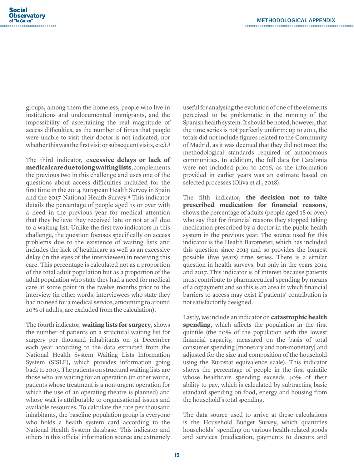groups, among them the homeless, people who live in institutions and undocumented immigrants, and the impossibility of ascertaining the real magnitude of access difficulties, as the number of times that people were unable to visit their doctor is not indicated, nor whether this was the first visit or subsequent visits, etc.).<sup>3</sup>

The third indicator, e**xcessive delays or lack of medical care due to long waiting lists**, complements the previous two in this challenge and uses one of the questions about access difficulties included for the first time in the 2014 European Health Survey in Spain and the 2017 National Health Survey.4 This indicator details the percentage of people aged 15 or over with a need in the previous year for medical attention that they believe they received late or not at all due to a waiting list. Unlike the first two indicators in this challenge, the question focuses specifically on access problems due to the existence of waiting lists and includes the lack of healthcare as well as an excessive delay (in the eyes of the interviewee) in receiving this care. This percentage is calculated not as a proportion of the total adult population but as a proportion of the adult population who state they had a need for medical care at some point in the twelve months prior to the interview (in other words, interviewees who state they had no need for a medical service, amounting to around 20% of adults, are excluded from the calculation).

The fourth indicator, **waiting lists for surgery**, shows the number of patients on a structural waiting list for surgery per thousand inhabitants on 31 December each year according to the data extracted from the National Health System Waiting Lists Information System (SISLE), which provides information going back to 2003. The patients on structural waiting lists are those who are waiting for an operation (in other words, patients whose treatment is a non-urgent operation for which the use of an operating theatre is planned) and whose wait is attributable to organisational issues and available resources. To calculate the rate per thousand inhabitants, the baseline population group is everyone who holds a health system card according to the National Health System database. This indicator and others in this official information source are extremely

useful for analysing the evolution of one of the elements perceived to be problematic in the running of the Spanish health system. It should be noted, however, that the time series is not perfectly uniform: up to 2011, the totals did not include figures related to the Community of Madrid, as it was deemed that they did not meet the methodological standards required of autonomous communities. In addition, the full data for Catalonia were not included prior to 2016, as the information provided in earlier years was an estimate based on selected processes (Oliva et al., 2018).

The fifth indicator, **the decision not to take prescribed medication for financial reasons**, shows the percentage of adults (people aged 18 or over) who say that for financial reasons they stopped taking medication prescribed by a doctor in the public health system in the previous year. The source used for this indicator is the Health Barometer, which has included this question since 2013 and so provides the longest possible (five years) time series. There is a similar question in health surveys, but only in the years 2014 and 2017. This indicator is of interest because patients must contribute to pharmaceutical spending by means of a copayment and so this is an area in which financial barriers to access may exist if patients' contribution is not satisfactorily designed.

Lastly, we include an indicator on **catastrophic health spending**, which affects the population in the first quintile (the 20% of the population with the lowest financial capacity, measured on the basis of total consumer spending [monetary and non-monetary] and adjusted for the size and composition of the household using the Eurostat equivalence scale). This indicator shows the percentage of people in the first quintile whose healthcare spending exceeds 40% of their ability to pay, which is calculated by subtracting basic standard spending on food, energy and housing from the household's total spending.

The data source used to arrive at these calculations is the Household Budget Survey, which quantifies households´ spending on various health-related goods and services (medication, payments to doctors and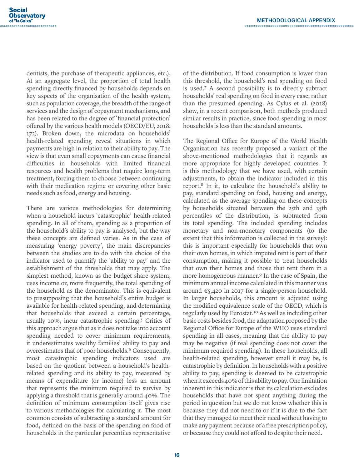dentists, the purchase of therapeutic appliances, etc.). At an aggregate level, the proportion of total health spending directly financed by households depends on key aspects of the organisation of the health system, such as population coverage, the breadth of the range of services and the design of copayment mechanisms, and has been related to the degree of 'financial protection' offered by the various health models (OECD/EU, 2018: 172). Broken down, the microdata on households' health-related spending reveal situations in which payments are high in relation to their ability to pay. The view is that even small copayments can cause financial difficulties in households with limited financial resources and health problems that require long-term treatment, forcing them to choose between continuing with their medication regime or covering other basic needs such as food, energy and housing.

There are various methodologies for determining when a household incurs 'catastrophic' health-related spending. In all of them, spending as a proportion of the household's ability to pay is analysed, but the way these concepts are defined varies. As in the case of measuring 'energy poverty', the main discrepancies between the studies are to do with the choice of the indicator used to quantify the 'ability to pay' and the establishment of the thresholds that may apply. The simplest method, known as the budget share system, uses income or, more frequently, the total spending of the household as the denominator. This is equivalent to presupposing that the household's entire budget is available for health-related spending, and determining that households that exceed a certain percentage, usually 10%, incur catastrophic spending.5 Critics of this approach argue that as it does not take into account spending needed to cover minimum requirements, it underestimates wealthy families' ability to pay and overestimates that of poor households.<sup>6</sup> Consequently, most catastrophic spending indicators used are based on the quotient between a household's healthrelated spending and its ability to pay, measured by means of expenditure (or income) less an amount that represents the minimum required to survive by applying a threshold that is generally around 40%. The definition of minimum consumption itself gives rise to various methodologies for calculating it. The most common consists of subtracting a standard amount for food, defined on the basis of the spending on food of households in the particular percentiles representative

of the distribution. If food consumption is lower than this threshold, the household's real spending on food is used.7 A second possibility is to directly subtract households' real spending on food in every case, rather than the presumed spending. As Cylus et al. (2018) show, in a recent comparison, both methods produced similar results in practice, since food spending in most households is less than the standard amounts.

The Regional Office for Europe of the World Health Organization has recently proposed a variant of the above-mentioned methodologies that it regards as more appropriate for highly developed countries. It is this methodology that we have used, with certain adjustments, to obtain the indicator included in this report.8 In it, to calculate the household's ability to pay, standard spending on food, housing and energy, calculated as the average spending on these concepts by households situated between the 25th and 35th percentiles of the distribution, is subtracted from its total spending. The included spending includes monetary and non-monetary components (to the extent that this information is collected in the survey): this is important especially for households that own their own homes, in which imputed rent is part of their consumption, making it possible to treat households that own their homes and those that rent them in a more homogeneous manner.9 In the case of Spain, the minimum annual income calculated in this manner was around  $\epsilon$ 5,420 in 2017 for a single-person household. In larger households, this amount is adjusted using the modified equivalence scale of the OECD, which is regularly used by Eurostat.10 As well as including other basic costs besides food, the adaptation proposed by the Regional Office for Europe of the WHO uses standard spending in all cases, meaning that the ability to pay may be negative (if real spending does not cover the minimum required spending). In these households, all health-related spending, however small it may be, is catastrophic by definition. In households with a positive ability to pay, spending is deemed to be catastrophic when it exceeds 40% of this ability to pay. One limitation inherent in this indicator is that its calculation excludes households that have not spent anything during the period in question but we do not know whether this is because they did not need to or if it is due to the fact that they managed to meet their need without having to make any payment because of a free prescription policy, or because they could not afford to despite their need.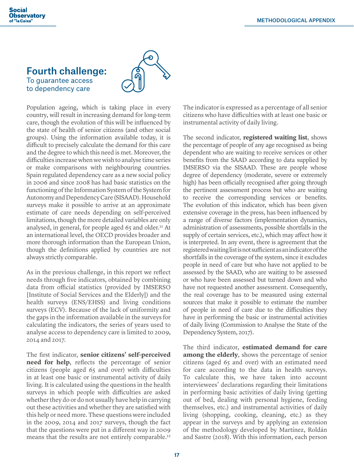#### **Social Observatory** of "la Caixa"

## Fourth challenge: To guarantee access to dependency care



Population ageing, which is taking place in every country, will result in increasing demand for long-term care, though the evolution of this will be influenced by the state of health of senior citizens (and other social groups). Using the information available today, it is difficult to precisely calculate the demand for this care and the degree to which this need is met. Moreover, the difficulties increase when we wish to analyse time series or make comparisons with neighbouring countries. Spain regulated dependency care as a new social policy in 2006 and since 2008 has had basic statistics on the functioning of the Information System of the System for Autonomy and Dependency Care (SISAAD). Household surveys make it possible to arrive at an approximate estimate of care needs depending on self-perceived limitations, though the more detailed variables are only analysed, in general, for people aged 65 and older.<sup>11</sup> At an international level, the OECD provides broader and more thorough information than the European Union, though the definitions applied by countries are not always strictly comparable.

As in the previous challenge, in this report we reflect needs through five indicators, obtained by combining data from official statistics (provided by IMSERSO [Institute of Social Services and the Elderly]) and the health surveys (ENS/EHSS) and living conditions surveys (ECV). Because of the lack of uniformity and the gaps in the information available in the surveys for calculating the indicators, the series of years used to analyse access to dependency care is limited to 2009, 2014 and 2017.

The first indicator, **senior citizens' self-perceived need for help**, reflects the percentage of senior citizens (people aged 65 and over) with difficulties in at least one basic or instrumental activity of daily living. It is calculated using the questions in the health surveys in which people with difficulties are asked whether they do or do not usually have help in carrying out these activities and whether they are satisfied with this help or need more. These questions were included in the 2009, 2014 and 2017 surveys, though the fact that the questions were put in a different way in 2009 means that the results are not entirely comparable.<sup>12</sup>

The indicator is expressed as a percentage of all senior citizens who have difficulties with at least one basic or instrumental activity of daily living.

The second indicator, **registered waiting list**, shows the percentage of people of any age recognised as being dependent who are waiting to receive services or other benefits from the SAAD according to data supplied by IMSERSO via the SISAAD. These are people whose degree of dependency (moderate, severe or extremely high) has been officially recognised after going through the pertinent assessment process but who are waiting to receive the corresponding services or benefits. The evolution of this indicator, which has been given extensive coverage in the press, has been influenced by a range of diverse factors (implementation dynamics, administration of assessments, possible shortfalls in the supply of certain services, etc.), which may affect how it is interpreted. In any event, there is agreement that the registered waiting list is not sufficient as an indicator of the shortfalls in the coverage of the system, since it excludes people in need of care but who have not applied to be assessed by the SAAD, who are waiting to be assessed or who have been assessed but turned down and who have not requested another assessment. Consequently, the real coverage has to be measured using external sources that make it possible to estimate the number of people in need of care due to the difficulties they have in performing the basic or instrumental activities of daily living (Commission to Analyse the State of the Dependency System, 2017).

The third indicator, **estimated demand for care among the elderly**, shows the percentage of senior citizens (aged 65 and over) with an estimated need for care according to the data in health surveys. To calculate this, we have taken into account interviewees' declarations regarding their limitations in performing basic activities of daily living (getting out of bed, dealing with personal hygiene, feeding themselves, etc.) and instrumental activities of daily living (shopping, cooking, cleaning, etc.) as they appear in the surveys and by applying an extension of the methodology developed by Martínez, Roldán and Sastre (2018). With this information, each person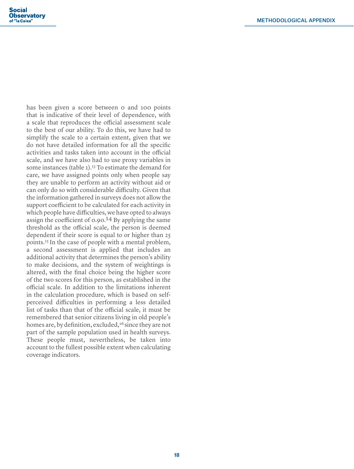has been given a score between 0 and 100 points that is indicative of their level of dependence, with a scale that reproduces the official assessment scale to the best of our ability. To do this, we have had to simplify the scale to a certain extent, given that we do not have detailed information for all the specific activities and tasks taken into account in the official scale, and we have also had to use proxy variables in some instances (table 1).<sup>13</sup> To estimate the demand for care, we have assigned points only when people say they are unable to perform an activity without aid or can only do so with considerable difficulty. Given that the information gathered in surveys does not allow the support coefficient to be calculated for each activity in which people have difficulties, we have opted to always assign the coefficient of 0.90.14 By applying the same threshold as the official scale, the person is deemed dependent if their score is equal to or higher than 25 points.15 In the case of people with a mental problem, a second assessment is applied that includes an additional activity that determines the person's ability to make decisions, and the system of weightings is altered, with the final choice being the higher score of the two scores for this person, as established in the official scale. In addition to the limitations inherent in the calculation procedure, which is based on selfperceived difficulties in performing a less detailed list of tasks than that of the official scale, it must be remembered that senior citizens living in old people's homes are, by definition, excluded,<sup>16</sup> since they are not part of the sample population used in health surveys. These people must, nevertheless, be taken into account to the fullest possible extent when calculating coverage indicators.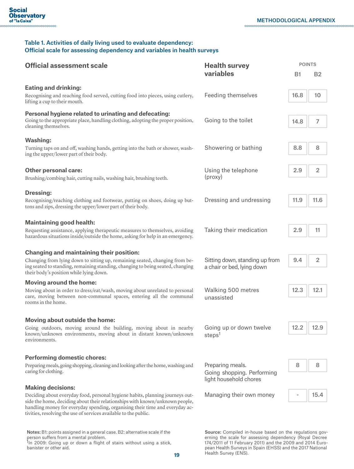#### Table 1. Activities of daily living used to evaluate dependency: Official scale for assessing dependency and variables in health surveys

| <b>Official assessment scale</b>                                                                                                                                                                                                                                                                                  | <b>Health survey</b><br>variables                            | <b>POINTS</b> |                         |
|-------------------------------------------------------------------------------------------------------------------------------------------------------------------------------------------------------------------------------------------------------------------------------------------------------------------|--------------------------------------------------------------|---------------|-------------------------|
|                                                                                                                                                                                                                                                                                                                   |                                                              | B1            | <b>B2</b>               |
| <b>Eating and drinking:</b>                                                                                                                                                                                                                                                                                       |                                                              |               |                         |
| Recognising and reaching food served, cutting food into pieces, using cutlery,<br>lifting a cup to their mouth.                                                                                                                                                                                                   | <b>Feeding themselves</b>                                    | 16.8          | 10                      |
| Personal hygiene related to urinating and defecating:<br>Going to the appropriate place, handling clothing, adopting the proper position,                                                                                                                                                                         |                                                              |               |                         |
| cleaning themselves.                                                                                                                                                                                                                                                                                              | Going to the toilet                                          | 14.8          | 7                       |
| <b>Washing:</b>                                                                                                                                                                                                                                                                                                   |                                                              |               |                         |
| Turning taps on and off, washing hands, getting into the bath or shower, wash-<br>ing the upper/lower part of their body.                                                                                                                                                                                         | Showering or bathing                                         | 8.8           | 8                       |
| <b>Other personal care:</b>                                                                                                                                                                                                                                                                                       | Using the telephone<br>(proxy)                               | 2.9           | $\overline{\mathbf{c}}$ |
| Brushing/combing hair, cutting nails, washing hair, brushing teeth.                                                                                                                                                                                                                                               |                                                              |               |                         |
| <b>Dressing:</b>                                                                                                                                                                                                                                                                                                  |                                                              |               |                         |
| Recognising/reaching clothing and footwear, putting on shoes, doing up but-<br>tons and zips, dressing the upper/lower part of their body.                                                                                                                                                                        | Dressing and undressing                                      | 11.9          | 11.6                    |
| <b>Maintaining good health:</b>                                                                                                                                                                                                                                                                                   |                                                              |               |                         |
| Requesting assistance, applying therapeutic measures to themselves, avoiding<br>hazardous situations inside/outside the home, asking for help in an emergency.                                                                                                                                                    | Taking their medication                                      | 2.9           | 11                      |
| <b>Changing and maintaining their position:</b>                                                                                                                                                                                                                                                                   |                                                              |               |                         |
| Changing from lying down to sitting up, remaining seated, changing from be-<br>ing seated to standing, remaining standing, changing to being seated, changing<br>their body's position while lying down.                                                                                                          | Sitting down, standing up from<br>a chair or bed, lying down | 9.4           | $\overline{2}$          |
| <b>Moving around the home:</b>                                                                                                                                                                                                                                                                                    |                                                              |               |                         |
| Moving about in order to dress/eat/wash, moving about unrelated to personal<br>care, moving between non-communal spaces, entering all the communal<br>rooms in the home.                                                                                                                                          | Walking 500 metres<br>unassisted                             | 12.3          | 12.1                    |
| Moving about outside the home:                                                                                                                                                                                                                                                                                    |                                                              |               |                         |
| Going outdoors, moving around the building, moving about in nearby<br>known/unknown environments, moving about in distant known/unknown                                                                                                                                                                           | Going up or down twelve                                      | 12.2          | 12.9                    |
| environments.                                                                                                                                                                                                                                                                                                     | steps <sup>1</sup>                                           |               |                         |
| <b>Performing domestic chores:</b>                                                                                                                                                                                                                                                                                |                                                              |               |                         |
| Preparing meals, going shopping, cleaning and looking after the home, washing and<br>caring for clothing.                                                                                                                                                                                                         | Preparing meals.<br>Going shopping. Performing               | 8             | 8                       |
|                                                                                                                                                                                                                                                                                                                   | light household chores                                       |               |                         |
| <b>Making decisions:</b>                                                                                                                                                                                                                                                                                          |                                                              |               |                         |
| Deciding about everyday food, personal hygiene habits, planning journeys out-<br>side the home, deciding about their relationships with known/unknown people,<br>handling money for everyday spending, organising their time and everyday ac-<br>tivities, resolving the use of services available to the public. | Managing their own money                                     |               | 15.4                    |

Notes: B1: points assigned in a general case. B2: alternative scale if the person suffers from a mental problem.<br><sup>1</sup>In 2009: Going up or down a flight of stairs without using a stick,

banister or other aid.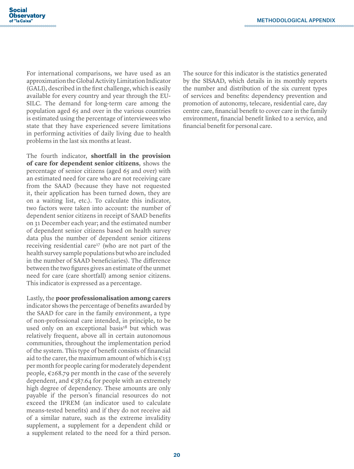For international comparisons, we have used as an approximation the Global Activity Limitation Indicator (GALI), described in the first challenge, which is easily available for every country and year through the EU-SILC. The demand for long-term care among the population aged 65 and over in the various countries is estimated using the percentage of interviewees who state that they have experienced severe limitations in performing activities of daily living due to health problems in the last six months at least.

The fourth indicator, **shortfall in the provision of care for dependent senior citizens**, shows the percentage of senior citizens (aged 65 and over) with an estimated need for care who are not receiving care from the SAAD (because they have not requested it, their application has been turned down, they are on a waiting list, etc.). To calculate this indicator, two factors were taken into account: the number of dependent senior citizens in receipt of SAAD benefits on 31 December each year; and the estimated number of dependent senior citizens based on health survey data plus the number of dependent senior citizens receiving residential care<sup>17</sup> (who are not part of the health survey sample populations but who are included in the number of SAAD beneficiaries). The difference between the two figures gives an estimate of the unmet need for care (care shortfall) among senior citizens. This indicator is expressed as a percentage.

Lastly, the **poor professionalisation among carers** indicator shows the percentage of benefits awarded by the SAAD for care in the family environment, a type of non-professional care intended, in principle, to be used only on an exceptional basis<sup>18</sup> but which was relatively frequent, above all in certain autonomous communities, throughout the implementation period of the system. This type of benefit consists of financial aid to the carer, the maximum amount of which is  $\epsilon$ 153 per month for people caring for moderately dependent people,  $\epsilon$ 268.79 per month in the case of the severely dependent, and  $\epsilon$ 387.64 for people with an extremely high degree of dependency. These amounts are only payable if the person's financial resources do not exceed the IPREM (an indicator used to calculate means-tested benefits) and if they do not receive aid of a similar nature, such as the extreme invalidity supplement, a supplement for a dependent child or a supplement related to the need for a third person. The source for this indicator is the statistics generated by the SISAAD, which details in its monthly reports the number and distribution of the six current types of services and benefits: dependency prevention and promotion of autonomy, telecare, residential care, day centre care, financial benefit to cover care in the family environment, financial benefit linked to a service, and financial benefit for personal care.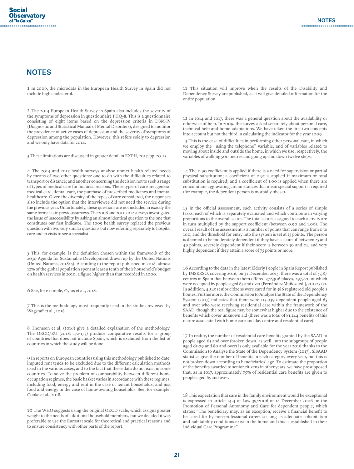#### **NOTES**

1 In 2009, the microdata in the European Health Survey in Spain did not include high cholesterol.

2 The 2014 European Health Survey in Spain also includes the severity of the symptoms of depression in questionnaire PHQ-8. This is a questionnaire consisting of eight items based on the depression criteria in DSM-IV (Diagnostic and Statistical Manual of Mental Disorders), designed to monitor the prevalence of active cases of depression and the severity of symptoms of depression among the population. However, this refers solely to depression and we only have data for 2014.

3 These limitations are discussed in greater detail in EXPH, 2017, pp. 20-23.

4 The 2014 and 2017 health surveys analyse unmet health-related needs by means of two other questions: one to do with the difficulties related to transport or distance; and another concerning the decision not to seek a range of types of medical care for financial reasons. These types of care are: general medical care, dental care, the purchase of prescribed medicines and mental healthcare. Given the diversity of the types of care considered, the responses also include the option that the interviewee did not need the service during the previous year. Unfortunately, these questions are not included in exactly the same format as in previous surveys. The 2006 and 2011-2012 surveys investigated the issue of inaccessibility by asking an almost identical question to the one that constitutes our first indicator. The 2009 health survey replaced the previous question with two very similar questions but now referring separately to hospital care and to visits to see a specialist.

5 This, for example, is the definition chosen within the framework of the 2030 Agenda for Sustainable Development drawn up by the United Nations (United Nations, 2018: 5). According to the report published in 2018, almost 12% of the global population spent at least a tenth of their household's budget on health services in 2010, a figure higher than that recorded in 2000.

6 See, for example, Cylus et al., 2018.

7 This is the methodology most frequently used in the studies reviewed by Wagstaff et al., 2018.

8 Thomson et al. (2016) give a detailed explanation of the methodology. The OECD/EU (2018: 172-173) produce comparative results for a group of countries that does not include Spain, which is excluded from the list of countries in which the study will be done.

9 In reports on European countries using this methodology published to date, imputed rent tends to be excluded due to the different calculation methods used in the various cases, and to the fact that these data do not exist in some countries. To solve the problem of comparability between different home occupation regimes, the basic basket varies in accordance with these regimes, including food, energy and rent in the case of tenant households, and just food and energy in the case of home-owning households. See, for example, Cooke et al., 2018.

10 The WHO suggests using the original OECD scale, which assigns greater weight to the needs of additional household members, but we decided it was preferable to use the Eurostat scale for theoretical and practical reasons and to ensure consistency with other parts of the report.

11 This situation will improve when the results of the Disability and Dependency Survey are published, as it will give detailed information for the entire population.

12 In 2014 and 2017, there was a general question about the availability or otherwise of help. In 2009, the survey asked separately about personal care, technical help and home adaptations. We have taken the first two concepts into account but not the third in calculating the indicator for the year 2009. 13 This is the case of difficulties in performing other personal care, in which

we employ the "using the telephone" variable, and of variables related to moving about inside and outside the home, in which we use, respectively, the variables of walking 500 metres and going up and down twelve steps.

14 The 0.90 coefficient is applied if there is a need for supervision or partial physical substitution; a coefficient of 0.95 is applied if maximum or total substitution is required; and a coefficient of 1.00 is applied when there are concomitant aggravating circumstances that mean special support is required (for example, the dependent person is morbidly obese).

15 In the official assessment, each activity consists of a series of simple tasks, each of which is separately evaluated and which contribute in varying proportions to the overall score. The total scores assigned to each activity are in turn multiplied by the support coefficient (between 0.90 and 1.00). The overall result of the assessment is a number of points that can range from 0 to 100, and the threshold for entry into the system is set at 25 points. The person is deemed to be moderately dependent if they have a score of between 25 and 49 points, severely dependent if their score is between 50 and 74, and very highly dependent if they attain a score of 75 points or more.

16 According to the data in the latest Elderly People in Spain Report published by IMSERSO, covering 2016, on 31 December 2015, there was a total of 5,387 centres in Spain that between them offered 372,306 places, 297,220 of which were occupied by people aged 65 and over (Fernández Muñoz [ed.], 2017: 327). In addition, 4,545 senior citizens were cared for in 586 registered old people's homes. Furthermore, the Commission to Analyse the State of the Dependency System (2017) indicates that there were 113,039 dependent people aged 65 and over who were receiving residential care within the framework of the SAAD, though the real figure may be somewhat higher due to the existence of benefits which cover unknown aid (there was a total of 81,244 benefits of this nature associated with home care and day centre and residential care).

17 In reality, the number of residential care benefits granted by the SAAD to people aged 65 and over (broken down, as well, into the subgroups of people aged 65-79 and 80 and over) is only available for the year 2016 thanks to the Commission to Analyse the State of the Dependency System (2017). SISAAD statistics give the number of benefits in each category every year, but this is not broken down according to beneficiaries' age. To estimate the proportion of the benefits awarded to senior citizens in other years, we have presupposed that, as in 2017, approximately 75% of residential care benefits are given to people aged 65 and over.

18 This expectation that care in the family environment would be exceptional is expressed in article 14.4 of Law 39/2006 of 14 December 2006 on the Promotion of Personal Autonomy and Care for dependent people, which states: "The beneficiary may, as an exception, receive a financial benefit to be cared for by non-professional carers so long as adequate cohabitation and habitability conditions exist in the home and this is established in their Individual Care Programme".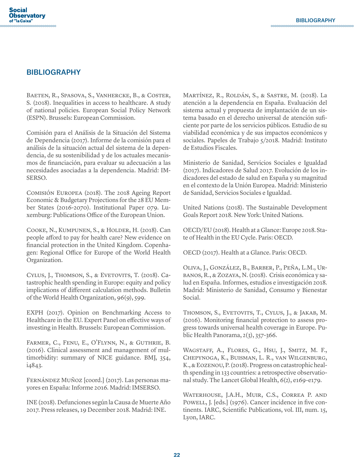#### **BIBLIOGRAPHY**

Baeten, R., Spasova, S., Vanhercke, B., & Coster, S. (2018). Inequalities in access to healthcare. A study of national policies. European Social Policy Network (ESPN). Brussels: European Commission.

Comisión para el Análisis de la Situación del Sistema de Dependencia (2017). Informe de la comisión para el análisis de la situación actual del sistema de la dependencia, de su sostenibilidad y de los actuales mecanismos de financiación, para evaluar su adecuación a las necesidades asociadas a la dependencia. Madrid: IM-SERSO.

Comisión Europea (2018). The 2018 Ageing Report Economic & Budgetary Projections for the 28 EU Member States (2016-2070). Institutional Paper 079. Luxemburg: Publications Office of the European Union.

Cooke, N., Kumpunen, S., & Holder, H. (2018). Can people afford to pay for health care? New evidence on financial protection in the United Kingdom. Copenhagen: Regional Office for Europe of the World Health Organization.

CYLUS, J., THOMSON, S., & EVETOVITS, T. (2018). Catastrophic health spending in Europe: equity and policy implications of different calculation methods. Bulletin of the World Health Organization, 96(9), 599.

EXPH (2017). Opinion on Benchmarking Access to Healthcare in the EU. Expert Panel on effective ways of investing in Health. Brussels: European Commission.

Farmer, C., Fenu, E., O'Flynn, N., & Guthrie, B. (2016). Clinical assessment and management of multimorbidity: summary of NICE guidance. BMJ, 354, i4843.

Fernández Muñoz [coord.] (2017). Las personas mayores en España: Informe 2016. Madrid: IMSERSO.

INE (2018). Defunciones según la Causa de Muerte Año 2017. Press releases, 19 December 2018. Madrid: INE.

Martínez, R., Roldán, S., & Sastre, M. (2018). La atención a la dependencia en España. Evaluación del sistema actual y propuesta de implantación de un sistema basado en el derecho universal de atención suficiente por parte de los servicios públicos. Estudio de su viabilidad económica y de sus impactos económicos y sociales. Papeles de Trabajo 5/2018. Madrid: Instituto de Estudios Fiscales.

Ministerio de Sanidad, Servicios Sociales e Igualdad (2017). Indicadores de Salud 2017. Evolución de los indicadores del estado de salud en España y su magnitud en el contexto de la Unión Europea. Madrid: Ministerio de Sanidad, Servicios Sociales e Igualdad.

United Nations (2018). The Sustainable Development Goals Report 2018. New York: United Nations.

OECD/EU (2018). Health at a Glance: Europe 2018. State of Health in the EU Cycle. Paris: OECD.

OECD (2017). Health at a Glance. Paris: OECD.

Oliva, J., González, B., Barber, P., Peña, L.M., Urbanos, R., & Zozaya, N. (2018). Crisis económica y salud en España. Informes, estudios e investigación 2018. Madrid: Ministerio de Sanidad, Consumo y Bienestar Social.

THOMSON, S., EVETOVITS, T., CYLUS, J., & JAKAB, M. (2016). Monitoring financial protection to assess progress towards universal health coverage in Europe. Public Health Panorama, 2(3), 357-366.

Wagstaff, A., Flores, G., Hsu, J., Smitz, M. F., Chepynoga, K., Buisman, L. R., van Wilgenburg, K., & Eozenou, P. (2018). Progress on catastrophic health spending in 133 countries: a retrospective observational study. The Lancet Global Health, 6(2), e169-e179.

Waterhouse, J.A.H., Muir, C.S., Correa P. and POWELL, J. [eds.] (1976). Cancer incidence in five continents. IARC, Scientific Publications, vol. III, num. 15, Lyon, IARC.